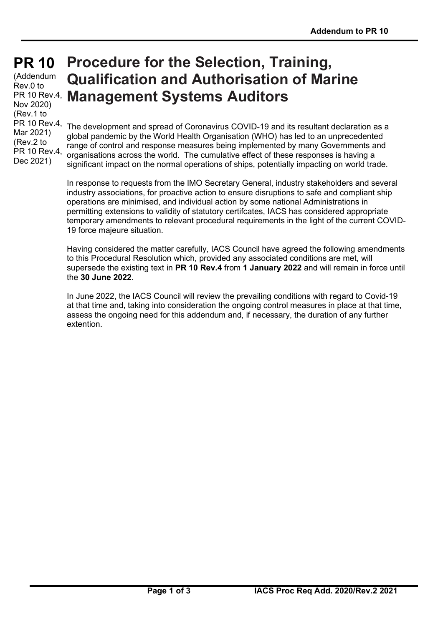# **PR 10 PR 10**

(Addendum Rev.0 to Nov 2020) (Rev.1 to PR 10 Rev.4, Mar 2021) (Rev.2 to PR 10 Rev.4, Dec 2021)

## PR 10 Rev.4, **Management Systems Auditors Procedure for the Selection, Training, Qualification and Authorisation of Marine**

The development and spread of Coronavirus COVID-19 and its resultant declaration as a global pandemic by the World Health Organisation (WHO) has led to an unprecedented range of control and response measures being implemented by many Governments and organisations across the world. The cumulative effect of these responses is having a significant impact on the normal operations of ships, potentially impacting on world trade.

In response to requests from the IMO Secretary General, industry stakeholders and several industry associations, for proactive action to ensure disruptions to safe and compliant ship operations are minimised, and individual action by some national Administrations in permitting extensions to validity of statutory certifcates, IACS has considered appropriate temporary amendments to relevant procedural requirements in the light of the current COVID-19 force majeure situation.

Having considered the matter carefully, IACS Council have agreed the following amendments to this Procedural Resolution which, provided any associated conditions are met, will supersede the existing text in **PR 10 Rev.4** from **1 January 2022** and will remain in force until the **30 June 2022**.

In June 2022, the IACS Council will review the prevailing conditions with regard to Covid-19 at that time and, taking into consideration the ongoing control measures in place at that time, assess the ongoing need for this addendum and, if necessary, the duration of any further extention.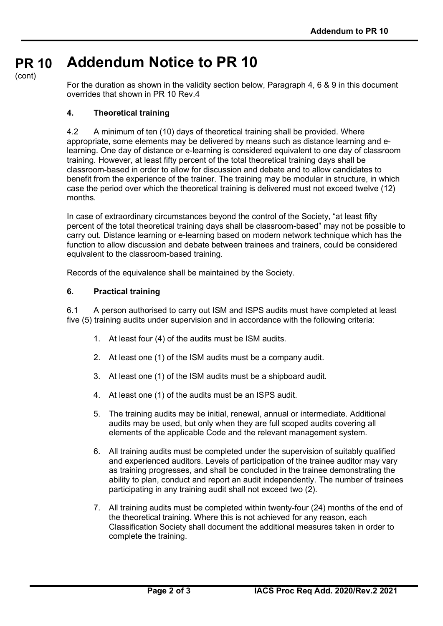#### **PR 10 Addendum Notice to PR 10**

(cont)

For the duration as shown in the validity section below, Paragraph 4, 6 & 9 in this document overrides that shown in PR 10 Rev.4

## **4. Theoretical training**

4.2 A minimum of ten (10) days of theoretical training shall be provided. Where appropriate, some elements may be delivered by means such as distance learning and elearning. One day of distance or e-learning is considered equivalent to one day of classroom training. However, at least fifty percent of the total theoretical training days shall be classroom-based in order to allow for discussion and debate and to allow candidates to benefit from the experience of the trainer. The training may be modular in structure, in which case the period over which the theoretical training is delivered must not exceed twelve (12) months.

In case of extraordinary circumstances beyond the control of the Society, "at least fifty percent of the total theoretical training days shall be classroom-based" may not be possible to carry out. Distance learning or e-learning based on modern network technique which has the function to allow discussion and debate between trainees and trainers, could be considered equivalent to the classroom-based training.

Records of the equivalence shall be maintained by the Society.

#### **6. Practical training**

6.1 A person authorised to carry out ISM and ISPS audits must have completed at least five (5) training audits under supervision and in accordance with the following criteria:

- 1. At least four (4) of the audits must be ISM audits.
- 2. At least one (1) of the ISM audits must be a company audit.
- 3. At least one (1) of the ISM audits must be a shipboard audit.
- 4. At least one (1) of the audits must be an ISPS audit.
- 5. The training audits may be initial, renewal, annual or intermediate. Additional audits may be used, but only when they are full scoped audits covering all elements of the applicable Code and the relevant management system.
- 6. All training audits must be completed under the supervision of suitably qualified and experienced auditors. Levels of participation of the trainee auditor may vary as training progresses, and shall be concluded in the trainee demonstrating the ability to plan, conduct and report an audit independently. The number of trainees participating in any training audit shall not exceed two (2).
- 7. All training audits must be completed within twenty-four (24) months of the end of the theoretical training. Where this is not achieved for any reason, each Classification Society shall document the additional measures taken in order to complete the training.